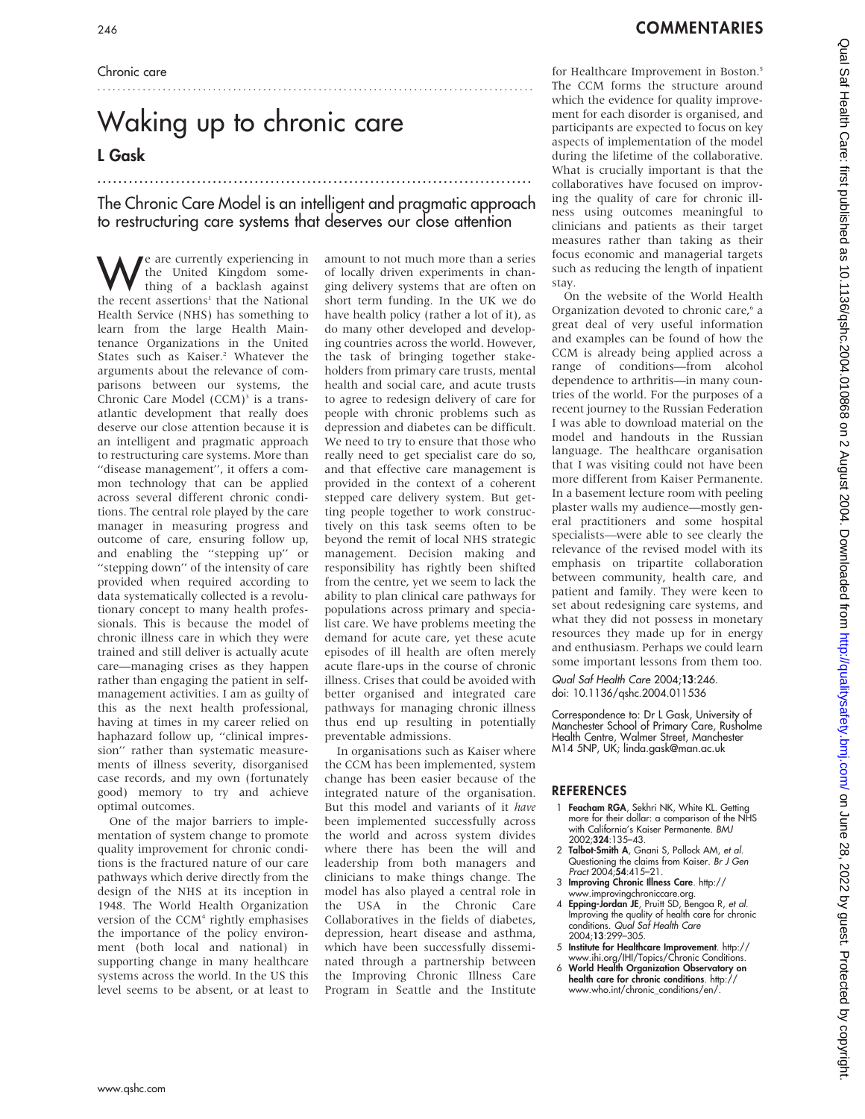#### Chronic care

# Waking up to chronic care

### L Gask

#### The Chronic Care Model is an intelligent and pragmatic approach to restructuring care systems that deserves our close attention

...................................................................................

.......................................................................................

We are currently experiencing in<br>thing of a backlash against<br>the recent assertional that the National the United Kingdom somethe recent assertions<sup>1</sup> that the National Health Service (NHS) has something to learn from the large Health Maintenance Organizations in the United States such as Kaiser.<sup>2</sup> Whatever the arguments about the relevance of comparisons between our systems, the Chronic Care Model  $(CCM)^3$  is a transatlantic development that really does deserve our close attention because it is an intelligent and pragmatic approach to restructuring care systems. More than ''disease management'', it offers a common technology that can be applied across several different chronic conditions. The central role played by the care manager in measuring progress and outcome of care, ensuring follow up, and enabling the ''stepping up'' or "stepping down" of the intensity of care provided when required according to data systematically collected is a revolutionary concept to many health professionals. This is because the model of chronic illness care in which they were trained and still deliver is actually acute care—managing crises as they happen rather than engaging the patient in selfmanagement activities. I am as guilty of this as the next health professional, having at times in my career relied on haphazard follow up, "clinical impression'' rather than systematic measurements of illness severity, disorganised case records, and my own (fortunately good) memory to try and achieve optimal outcomes.

One of the major barriers to implementation of system change to promote quality improvement for chronic conditions is the fractured nature of our care pathways which derive directly from the design of the NHS at its inception in 1948. The World Health Organization version of the CCM<sup>4</sup> rightly emphasises the importance of the policy environment (both local and national) in supporting change in many healthcare systems across the world. In the US this level seems to be absent, or at least to

amount to not much more than a series of locally driven experiments in changing delivery systems that are often on short term funding. In the UK we do have health policy (rather a lot of it), as do many other developed and developing countries across the world. However, the task of bringing together stakeholders from primary care trusts, mental health and social care, and acute trusts to agree to redesign delivery of care for people with chronic problems such as depression and diabetes can be difficult. We need to try to ensure that those who really need to get specialist care do so, and that effective care management is provided in the context of a coherent stepped care delivery system. But getting people together to work constructively on this task seems often to be beyond the remit of local NHS strategic management. Decision making and responsibility has rightly been shifted from the centre, yet we seem to lack the ability to plan clinical care pathways for populations across primary and specialist care. We have problems meeting the demand for acute care, yet these acute episodes of ill health are often merely acute flare-ups in the course of chronic illness. Crises that could be avoided with better organised and integrated care pathways for managing chronic illness thus end up resulting in potentially preventable admissions.

In organisations such as Kaiser where the CCM has been implemented, system change has been easier because of the integrated nature of the organisation. But this model and variants of it have been implemented successfully across the world and across system divides where there has been the will and leadership from both managers and clinicians to make things change. The model has also played a central role in the USA in the Chronic Care Collaboratives in the fields of diabetes, depression, heart disease and asthma, which have been successfully disseminated through a partnership between the Improving Chronic Illness Care Program in Seattle and the Institute

#### <sup>246</sup> COMMENTARIES

for Healthcare Improvement in Boston.<sup>5</sup> The CCM forms the structure around which the evidence for quality improvement for each disorder is organised, and participants are expected to focus on key aspects of implementation of the model during the lifetime of the collaborative. What is crucially important is that the collaboratives have focused on improving the quality of care for chronic illness using outcomes meaningful to clinicians and patients as their target measures rather than taking as their focus economic and managerial targets such as reducing the length of inpatient stay.

On the website of the World Health Organization devoted to chronic care,<sup>6</sup> a great deal of very useful information and examples can be found of how the CCM is already being applied across a range of conditions—from alcohol dependence to arthritis—in many countries of the world. For the purposes of a recent journey to the Russian Federation I was able to download material on the model and handouts in the Russian language. The healthcare organisation that I was visiting could not have been more different from Kaiser Permanente. In a basement lecture room with peeling plaster walls my audience—mostly general practitioners and some hospital specialists—were able to see clearly the relevance of the revised model with its emphasis on tripartite collaboration between community, health care, and patient and family. They were keen to set about redesigning care systems, and what they did not possess in monetary resources they made up for in energy and enthusiasm. Perhaps we could learn some important lessons from them too.

Qual Saf Health Care 2004;13:246. doi: 10.1136/qshc.2004.011536

Correspondence to: Dr L Gask, University of Manchester School of Primary Care, Rusholme Health Centre, Walmer Street, Manchester M14 5NP, UK; linda.gask@man.ac.uk

#### REFERENCES

- 1 Feacham RGA, Sekhri NK, White KL. Getting more for their dollar: a comparison of the NHS with California's Kaiser Permanente. BMJ 2002;324:135–43.
- 2 Talbot-Smith A, Gnani S, Pollock AM, et al. Questioning the claims from Kaiser. Br J Gen Pract 2004;54:415-21.
- 3 Improving Chronic Illness Care. http:// www.improvingchroniccare.org.
- 4 **Epping-Jordan JE**, Pruitt SD, Bengoa R, *et al.*<br>Improving the quality of health care for chronic<br>conditions. Qual Saf Health Care 2004;13:299–305.
- 5 Institute for Healthcare Improvement. http://
- www.ihi.org/IHI/Topics/Chronic Conditions. 6 World Health Organization Observatory on health care for chronic conditions. http:// www.who.int/chronic\_conditions/en/.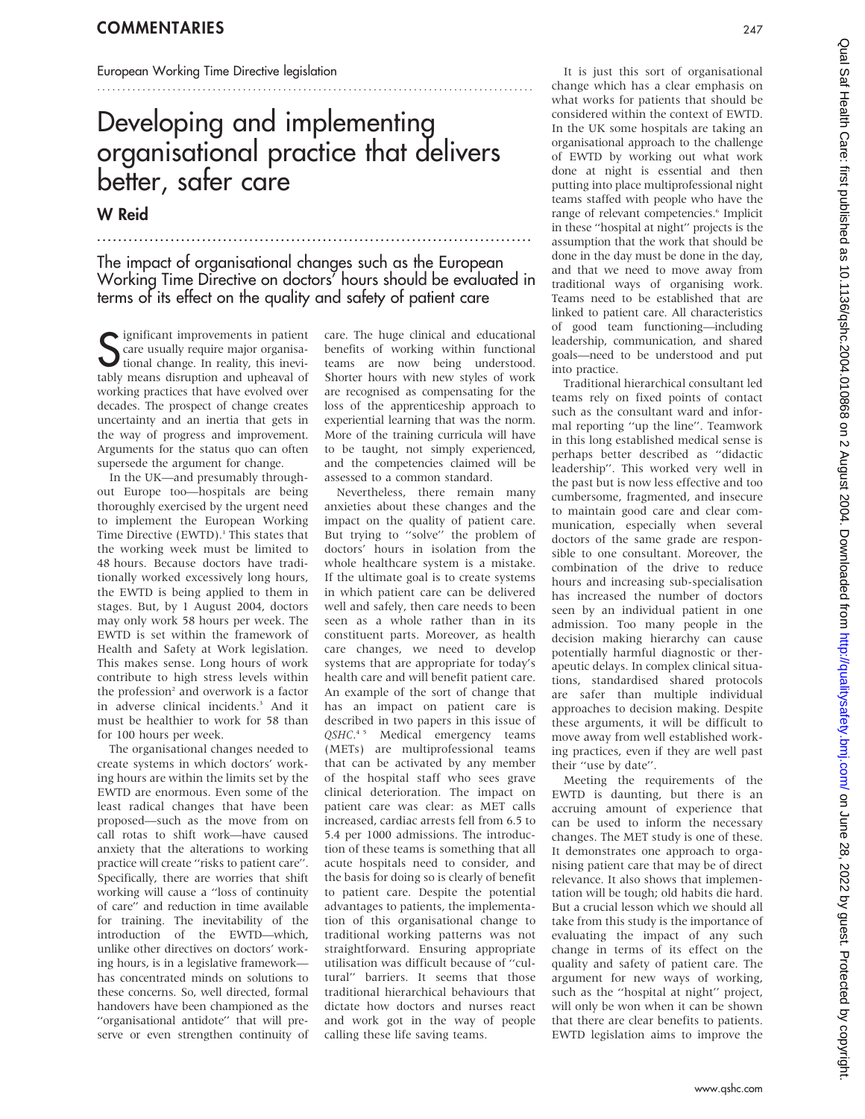#### COMMENTARIES <sup>247</sup>

#### European Working Time Directive legislation

### Developing and implementing organisational practice that delivers better, safer care

.......................................................................................

#### W Reid

The impact of organisational changes such as the European Working Time Directive on doctors' hours should be evaluated in terms of its effect on the quality and safety of patient care

...................................................................................

S ignificant improvements in patient<br>
Scare usually require major organisa-<br>
tobly means digrantian and unboavel of ignificant improvements in patient care usually require major organisatably means disruption and upheaval of working practices that have evolved over decades. The prospect of change creates uncertainty and an inertia that gets in the way of progress and improvement. Arguments for the status quo can often supersede the argument for change.

In the UK—and presumably throughout Europe too—hospitals are being thoroughly exercised by the urgent need to implement the European Working Time Directive (EWTD).<sup>1</sup> This states that the working week must be limited to 48 hours. Because doctors have traditionally worked excessively long hours, the EWTD is being applied to them in stages. But, by 1 August 2004, doctors may only work 58 hours per week. The EWTD is set within the framework of Health and Safety at Work legislation. This makes sense. Long hours of work contribute to high stress levels within the profession<sup>2</sup> and overwork is a factor in adverse clinical incidents.3 And it must be healthier to work for 58 than for 100 hours per week.

The organisational changes needed to create systems in which doctors' working hours are within the limits set by the EWTD are enormous. Even some of the least radical changes that have been proposed—such as the move from on call rotas to shift work—have caused anxiety that the alterations to working practice will create ''risks to patient care''. Specifically, there are worries that shift working will cause a ''loss of continuity of care'' and reduction in time available for training. The inevitability of the introduction of the EWTD—which, unlike other directives on doctors' working hours, is in a legislative framework has concentrated minds on solutions to these concerns. So, well directed, formal handovers have been championed as the "organisational antidote" that will preserve or even strengthen continuity of care. The huge clinical and educational benefits of working within functional teams are now being understood. Shorter hours with new styles of work are recognised as compensating for the loss of the apprenticeship approach to experiential learning that was the norm. More of the training curricula will have to be taught, not simply experienced, and the competencies claimed will be assessed to a common standard.

Nevertheless, there remain many anxieties about these changes and the impact on the quality of patient care. But trying to "solve" the problem of doctors' hours in isolation from the whole healthcare system is a mistake. If the ultimate goal is to create systems in which patient care can be delivered well and safely, then care needs to been seen as a whole rather than in its constituent parts. Moreover, as health care changes, we need to develop systems that are appropriate for today's health care and will benefit patient care. An example of the sort of change that has an impact on patient care is described in two papers in this issue of QSHC.<sup>45</sup> Medical emergency teams (METs) are multiprofessional teams that can be activated by any member of the hospital staff who sees grave clinical deterioration. The impact on patient care was clear: as MET calls increased, cardiac arrests fell from 6.5 to 5.4 per 1000 admissions. The introduction of these teams is something that all acute hospitals need to consider, and the basis for doing so is clearly of benefit to patient care. Despite the potential advantages to patients, the implementation of this organisational change to traditional working patterns was not straightforward. Ensuring appropriate utilisation was difficult because of ''cultural'' barriers. It seems that those traditional hierarchical behaviours that dictate how doctors and nurses react and work got in the way of people calling these life saving teams.

It is just this sort of organisational change which has a clear emphasis on what works for patients that should be considered within the context of EWTD. In the UK some hospitals are taking an organisational approach to the challenge of EWTD by working out what work done at night is essential and then putting into place multiprofessional night teams staffed with people who have the range of relevant competencies.<sup>6</sup> Implicit in these ''hospital at night'' projects is the assumption that the work that should be done in the day must be done in the day, and that we need to move away from traditional ways of organising work. Teams need to be established that are linked to patient care. All characteristics of good team functioning—including leadership, communication, and shared goals—need to be understood and put into practice.

Traditional hierarchical consultant led teams rely on fixed points of contact such as the consultant ward and informal reporting ''up the line''. Teamwork in this long established medical sense is perhaps better described as ''didactic leadership''. This worked very well in the past but is now less effective and too cumbersome, fragmented, and insecure to maintain good care and clear communication, especially when several doctors of the same grade are responsible to one consultant. Moreover, the combination of the drive to reduce hours and increasing sub-specialisation has increased the number of doctors seen by an individual patient in one admission. Too many people in the decision making hierarchy can cause potentially harmful diagnostic or therapeutic delays. In complex clinical situations, standardised shared protocols are safer than multiple individual approaches to decision making. Despite these arguments, it will be difficult to move away from well established working practices, even if they are well past their ''use by date''.

Meeting the requirements of the EWTD is daunting, but there is an accruing amount of experience that can be used to inform the necessary changes. The MET study is one of these. It demonstrates one approach to organising patient care that may be of direct relevance. It also shows that implementation will be tough; old habits die hard. But a crucial lesson which we should all take from this study is the importance of evaluating the impact of any such change in terms of its effect on the quality and safety of patient care. The argument for new ways of working, such as the ''hospital at night'' project, will only be won when it can be shown that there are clear benefits to patients. EWTD legislation aims to improve the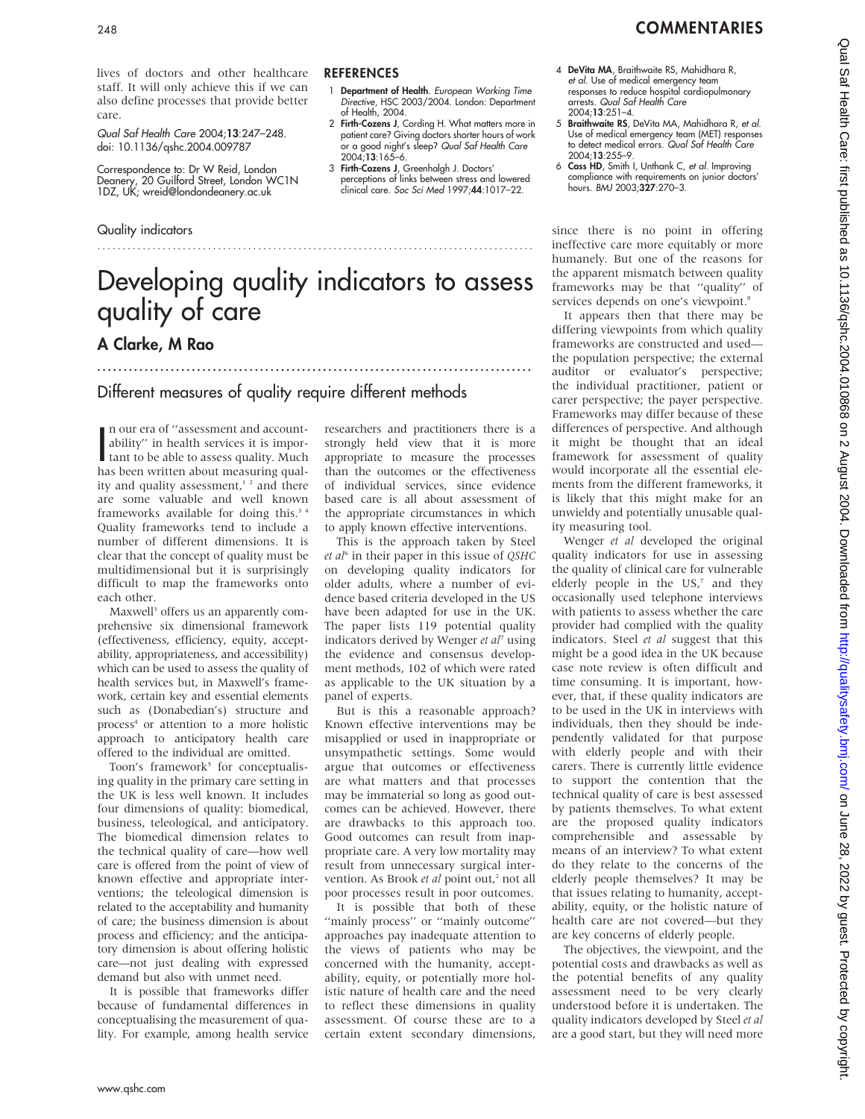Wenger et al developed the original quality indicators for use in assessing the quality of clinical care for vulnerable elderly people in the US,7 and they occasionally used telephone interviews with patients to assess whether the care provider had complied with the quality indicators. Steel et al suggest that this might be a good idea in the UK because case note review is often difficult and time consuming. It is important, however, that, if these quality indicators are to be used in the UK in interviews with individuals, then they should be independently validated for that purpose with elderly people and with their carers. There is currently little evidence to support the contention that the technical quality of care is best assessed by patients themselves. To what extent are the proposed quality indicators comprehensible and assessable by means of an interview? To what extent do they relate to the concerns of the elderly people themselves? It may be that issues relating to humanity, acceptability, equity, or the holistic nature of health care are not covered—but they are key concerns of elderly people.

The objectives, the viewpoint, and the potential costs and drawbacks as well as the potential benefits of any quality assessment need to be very clearly understood before it is undertaken. The quality indicators developed by Steel et al are a good start, but they will need more

Qual Saf Health Care 2004;13:247–248. doi: 10.1136/qshc.2004.009787

Correspondence to: Dr W Reid, London Deanery, 20 Guilford Street, London WC1N 1DZ, UK; wreid@londondeanery.ac.uk

#### Quality indicators

.......................................................................................

### Developing quality indicators to assess quality of care

**REFERENCES** 

of Health, 2004.

2004;13:165–6.

Department of Health. European Working Time Directive, HSC 2003/2004. London: Department

2 Firth-Cozens J, Cording H. What matters more in patient care? Giving doctors shorter hours of work or a good night's sleep? Qual Saf Health Care

3 Firth-Cozens J, Greenhalgh J. Doctors' perceptions of links between stress and lowered clinical care. Soc Sci Med 1997;44:1017-22.

#### A Clarke, M Rao ...................................................................................

### Different measures of quality require different methods

In our era of "assessment and account-<br>ability" in health services it is impor-<br>tant to be able to assess quality. Much n our era of ''assessment and accountability'' in health services it is imporhas been written about measuring quality and quality assessment, $12$  and there are some valuable and well known frameworks available for doing this.<sup>34</sup> Quality frameworks tend to include a number of different dimensions. It is clear that the concept of quality must be multidimensional but it is surprisingly difficult to map the frameworks onto each other.

Maxwell<sup>3</sup> offers us an apparently comprehensive six dimensional framework (effectiveness, efficiency, equity, acceptability, appropriateness, and accessibility) which can be used to assess the quality of health services but, in Maxwell's framework, certain key and essential elements such as (Donabedian's) structure and process<sup>4</sup> or attention to a more holistic approach to anticipatory health care offered to the individual are omitted.

Toon's framework<sup>5</sup> for conceptualising quality in the primary care setting in the UK is less well known. It includes four dimensions of quality: biomedical, business, teleological, and anticipatory. The biomedical dimension relates to the technical quality of care—how well care is offered from the point of view of known effective and appropriate interventions; the teleological dimension is related to the acceptability and humanity of care; the business dimension is about process and efficiency; and the anticipatory dimension is about offering holistic care—not just dealing with expressed demand but also with unmet need.

It is possible that frameworks differ because of fundamental differences in conceptualising the measurement of quality. For example, among health service researchers and practitioners there is a strongly held view that it is more appropriate to measure the processes than the outcomes or the effectiveness of individual services, since evidence based care is all about assessment of the appropriate circumstances in which to apply known effective interventions.

This is the approach taken by Steel et  $al<sup>6</sup>$  in their paper in this issue of  $QSHC$ on developing quality indicators for older adults, where a number of evidence based criteria developed in the US have been adapted for use in the UK. The paper lists 119 potential quality indicators derived by Wenger *et al*<sup> $\tau$ </sup> using the evidence and consensus development methods, 102 of which were rated as applicable to the UK situation by a panel of experts.

But is this a reasonable approach? Known effective interventions may be misapplied or used in inappropriate or unsympathetic settings. Some would argue that outcomes or effectiveness are what matters and that processes may be immaterial so long as good outcomes can be achieved. However, there are drawbacks to this approach too. Good outcomes can result from inappropriate care. A very low mortality may result from unnecessary surgical intervention. As Brook et al point out,<sup>2</sup> not all poor processes result in poor outcomes.

It is possible that both of these ''mainly process'' or ''mainly outcome'' approaches pay inadequate attention to the views of patients who may be concerned with the humanity, acceptability, equity, or potentially more holistic nature of health care and the need to reflect these dimensions in quality assessment. Of course these are to a certain extent secondary dimensions,

- 4 DeVita MA, Braithwaite RS, Mahidhara R, et al. Use of medical emergency team responses to reduce hospital cardiopulmonary arrests. Qual Saf Health Care 2004;13:251–4.
- 5 Braithwaite RS, DeVita MA, Mahidhara R, et al. Use of medical emergency team (MET) responses to detect medical errors. Qual Saf Health Care 2004;13:255–9.
- 6 Cass HD, Smith I, Unthank C, et al. Improving compliance with requirements on junior doctors' hours. BMJ 2003;327:270-3.

since there is no point in offering ineffective care more equitably or more humanely. But one of the reasons for the apparent mismatch between quality frameworks may be that ''quality'' of services depends on one's viewpoint.<sup>8</sup>

It appears then that there may be differing viewpoints from which quality frameworks are constructed and used the population perspective; the external auditor or evaluator's perspective; the individual practitioner, patient or carer perspective; the payer perspective. Frameworks may differ because of these differences of perspective. And although it might be thought that an ideal framework for assessment of quality would incorporate all the essential elements from the different frameworks, it is likely that this might make for an unwieldy and potentially unusable quality measuring tool.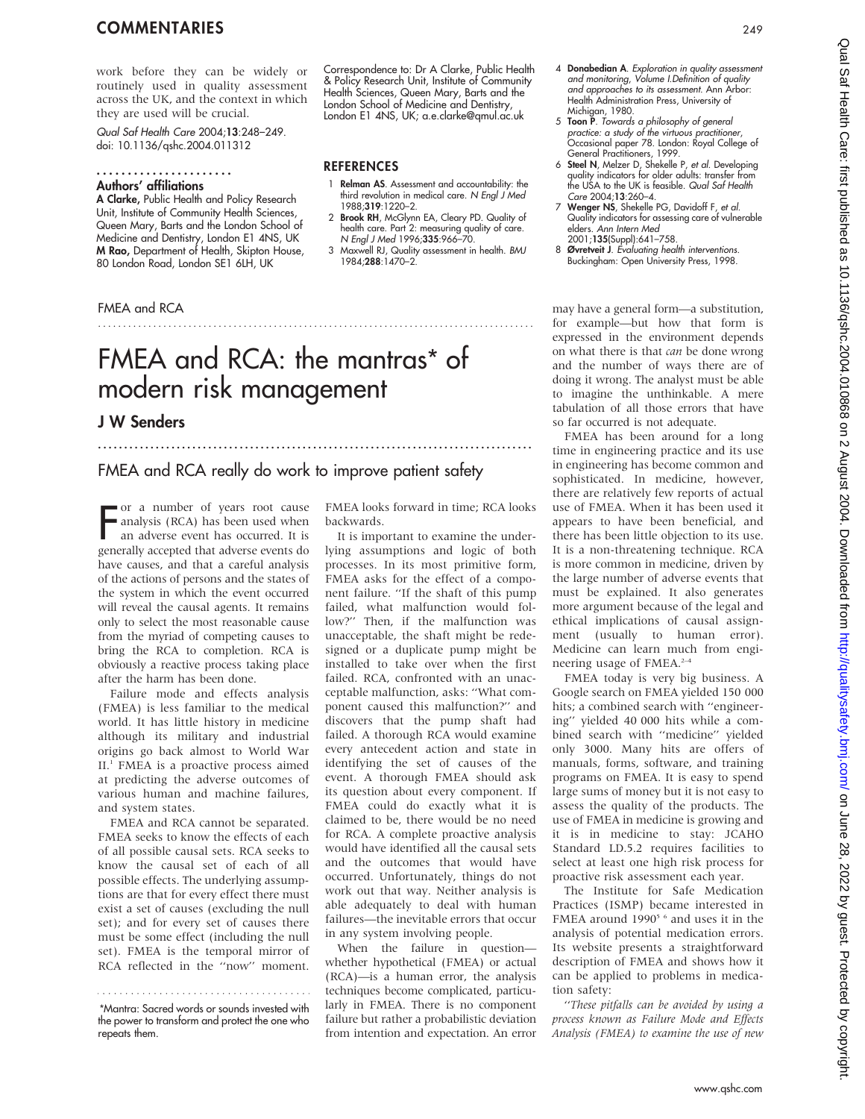work before they can be widely or routinely used in quality assessment across the UK, and the context in which they are used will be crucial.

Qual Saf Health Care 2004;13:248–249. doi: 10.1136/qshc.2004.011312

#### Authors' affiliations ......................

A Clarke, Public Health and Policy Research Unit, Institute of Community Health Sciences, Queen Mary, Barts and the London School of Medicine and Dentistry, London E1 4NS, UK M Rao, Department of Health, Skipton House, 80 London Road, London SE1 6LH, UK

FMEA and RCA

## FMEA and RCA: the mantras\* of modern risk management

.......................................................................................

...................................................................................

### J W Senders

#### FMEA and RCA really do work to improve patient safety

For a number of years root cause<br>analysis (RCA) has been used when<br>an adverse event has occurred. It is<br>generally accepted that adverse events do or a number of years root cause analysis (RCA) has been used when an adverse event has occurred. It is have causes, and that a careful analysis of the actions of persons and the states of the system in which the event occurred will reveal the causal agents. It remains only to select the most reasonable cause from the myriad of competing causes to bring the RCA to completion. RCA is obviously a reactive process taking place after the harm has been done.

Failure mode and effects analysis (FMEA) is less familiar to the medical world. It has little history in medicine although its military and industrial origins go back almost to World War II.1 FMEA is a proactive process aimed at predicting the adverse outcomes of various human and machine failures, and system states.

FMEA and RCA cannot be separated. FMEA seeks to know the effects of each of all possible causal sets. RCA seeks to know the causal set of each of all possible effects. The underlying assumptions are that for every effect there must exist a set of causes (excluding the null set); and for every set of causes there must be some effect (including the null set). FMEA is the temporal mirror of RCA reflected in the ''now'' moment.

\*Mantra: Sacred words or sounds invested with the power to transform and protect the one who repeats them.

FMEA looks forward in time; RCA looks backwards.

Correspondence to: Dr A Clarke, Public Health & Policy Research Unit, Institute of Community Health Sciences, Queen Mary, Barts and the London School of Medicine and Dentistry, London E1 4NS, UK; a.e.clarke@qmul.ac.uk

1 Relman AS. Assessment and accountability: the third revolution in medical care. N Engl J Med

2 Brook RH, McGlynn EA, Cleary PD. Quality of health care. Part 2: measuring quality of care. N Engl J Med 1996;335:966–70. 3 Maxwell RJ, Quality assessment in health. BMJ

REFERENCES

1988;319:1220–2.

1984;288:1470–2.

It is important to examine the underlying assumptions and logic of both processes. In its most primitive form, FMEA asks for the effect of a component failure. ''If the shaft of this pump failed, what malfunction would follow?'' Then, if the malfunction was unacceptable, the shaft might be redesigned or a duplicate pump might be installed to take over when the first failed. RCA, confronted with an unacceptable malfunction, asks: ''What component caused this malfunction?'' and discovers that the pump shaft had failed. A thorough RCA would examine every antecedent action and state in identifying the set of causes of the event. A thorough FMEA should ask its question about every component. If FMEA could do exactly what it is claimed to be, there would be no need for RCA. A complete proactive analysis would have identified all the causal sets and the outcomes that would have occurred. Unfortunately, things do not work out that way. Neither analysis is able adequately to deal with human failures—the inevitable errors that occur in any system involving people.

When the failure in question whether hypothetical (FMEA) or actual (RCA)—is a human error, the analysis techniques become complicated, particularly in FMEA. There is no component failure but rather a probabilistic deviation from intention and expectation. An error

- 4 Donabedian A. Exploration in quality assessment and monitoring, Volume I.Definition of quality and approaches to its assessment. Ann Arbor: Health Administration Press, University of Michigan, 1980.
- 5 **Toon P**. Towards a philosophy of general<br>practice: a study of the virtuous practitioner,<br>Occasional paper 78. London: Royal College of General Practitioners, 1999.
- 6 **Steel N**, Melzer D, Shekelle P, *et al*. Developing<br>quality indicators for older adults: transfer from<br>the USA to the UK is feasible. *Qual Saf Health* Care 2004;13:260–4.
- 7 Wenger NS, Shekelle PG, Davidoff F, et al. Quality indicators for assessing care of vulnerable elders. Ann Intern Med 2001;135(Suppl):641–758.
- 8 Øvretveit J. Evaluating health interventions. Buckingham: Open University Press, 1998.

may have a general form—a substitution, for example—but how that form is expressed in the environment depends on what there is that can be done wrong and the number of ways there are of doing it wrong. The analyst must be able to imagine the unthinkable. A mere tabulation of all those errors that have so far occurred is not adequate.

FMEA has been around for a long time in engineering practice and its use in engineering has become common and sophisticated. In medicine, however, there are relatively few reports of actual use of FMEA. When it has been used it appears to have been beneficial, and there has been little objection to its use. It is a non-threatening technique. RCA is more common in medicine, driven by the large number of adverse events that must be explained. It also generates more argument because of the legal and ethical implications of causal assignment (usually to human error). Medicine can learn much from engineering usage of FMEA. $2-4$ 

FMEA today is very big business. A Google search on FMEA yielded 150 000 hits; a combined search with ''engineering'' yielded 40 000 hits while a combined search with ''medicine'' yielded only 3000. Many hits are offers of manuals, forms, software, and training programs on FMEA. It is easy to spend large sums of money but it is not easy to assess the quality of the products. The use of FMEA in medicine is growing and it is in medicine to stay: JCAHO Standard LD.5.2 requires facilities to select at least one high risk process for proactive risk assessment each year.

The Institute for Safe Medication Practices (ISMP) became interested in FMEA around 1990<sup>5</sup> 6 and uses it in the analysis of potential medication errors. Its website presents a straightforward description of FMEA and shows how it can be applied to problems in medication safety:

''These pitfalls can be avoided by using a process known as Failure Mode and Effects Analysis (FMEA) to examine the use of new